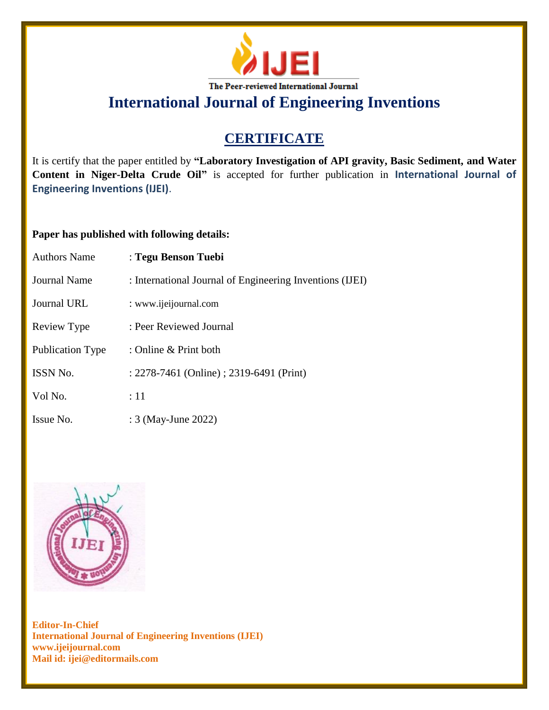

**International Journal of Engineering Inventions**

# **CERTIFICATE**

It is certify that the paper entitled by **"Laboratory Investigation of API gravity, Basic Sediment, and Water Content in Niger-Delta Crude Oil"** is accepted for further publication in **International Journal of Engineering Inventions (IJEI)**.

### **Paper has published with following details:**

| <b>Authors Name</b> | : Tegu Benson Tuebi                                      |
|---------------------|----------------------------------------------------------|
| <b>Journal Name</b> | : International Journal of Engineering Inventions (IJEI) |
| Journal URL         | : www.ijeijournal.com                                    |
| Review Type         | : Peer Reviewed Journal                                  |
| Publication Type    | : Online & Print both                                    |
| <b>ISSN No.</b>     | : 2278-7461 (Online) ; 2319-6491 (Print)                 |
| Vol No.             | :11                                                      |
| Issue No.           | : 3 (May-June 2022)                                      |



**Editor-In-Chief International Journal of Engineering Inventions (IJEI) www.ijeijournal.com Mail id: ijei@editormails.com**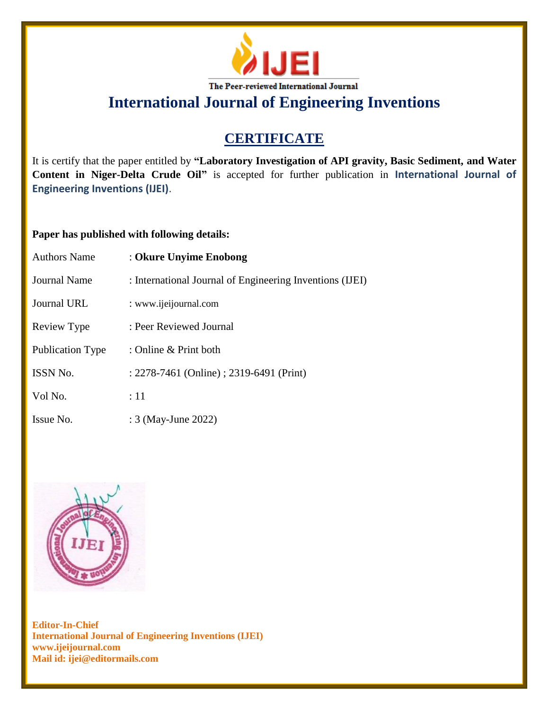

**International Journal of Engineering Inventions**

# **CERTIFICATE**

It is certify that the paper entitled by **"Laboratory Investigation of API gravity, Basic Sediment, and Water Content in Niger-Delta Crude Oil"** is accepted for further publication in **International Journal of Engineering Inventions (IJEI)**.

### **Paper has published with following details:**

| <b>Authors Name</b> | : Okure Unyime Enobong                                   |
|---------------------|----------------------------------------------------------|
| Journal Name        | : International Journal of Engineering Inventions (IJEI) |
| Journal URL         | : www.ijeijournal.com                                    |
| Review Type         | : Peer Reviewed Journal                                  |
| Publication Type    | : Online $&$ Print both                                  |
| <b>ISSN No.</b>     | : 2278-7461 (Online) ; 2319-6491 (Print)                 |
| Vol No.             | $\div 11$                                                |
| Issue No.           | : 3 (May-June 2022)                                      |



**Editor-In-Chief International Journal of Engineering Inventions (IJEI) www.ijeijournal.com Mail id: ijei@editormails.com**